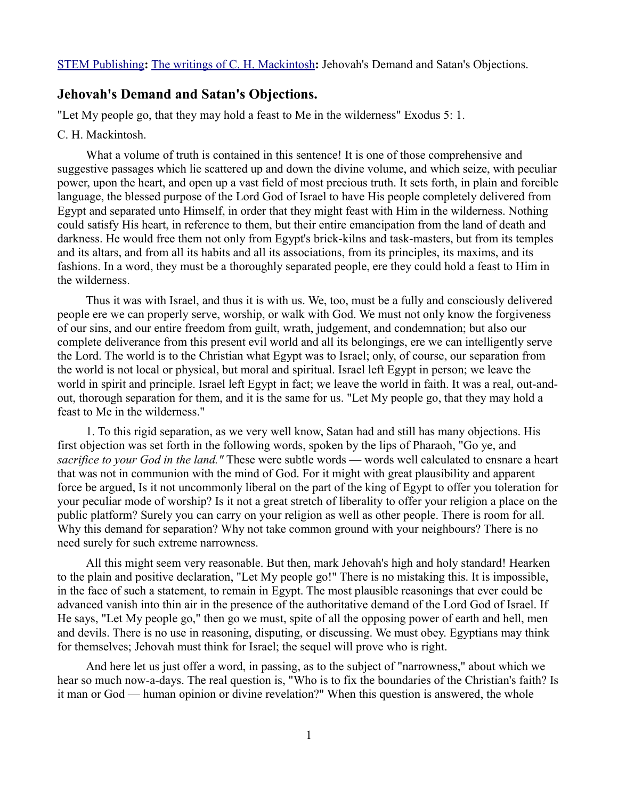[STEM Publishing](http://www.stempublishing.com/)**:** [The writings of C. H. Mackintosh](http://www.stempublishing.com/authors/mackintosh/index.html)**:** Jehovah's Demand and Satan's Objections.

## **Jehovah's Demand and Satan's Objections.**

"Let My people go, that they may hold a feast to Me in the wilderness" Exodus 5: 1.

## C. H. Mackintosh.

What a volume of truth is contained in this sentence! It is one of those comprehensive and suggestive passages which lie scattered up and down the divine volume, and which seize, with peculiar power, upon the heart, and open up a vast field of most precious truth. It sets forth, in plain and forcible language, the blessed purpose of the Lord God of Israel to have His people completely delivered from Egypt and separated unto Himself, in order that they might feast with Him in the wilderness. Nothing could satisfy His heart, in reference to them, but their entire emancipation from the land of death and darkness. He would free them not only from Egypt's brick-kilns and task-masters, but from its temples and its altars, and from all its habits and all its associations, from its principles, its maxims, and its fashions. In a word, they must be a thoroughly separated people, ere they could hold a feast to Him in the wilderness.

Thus it was with Israel, and thus it is with us. We, too, must be a fully and consciously delivered people ere we can properly serve, worship, or walk with God. We must not only know the forgiveness of our sins, and our entire freedom from guilt, wrath, judgement, and condemnation; but also our complete deliverance from this present evil world and all its belongings, ere we can intelligently serve the Lord. The world is to the Christian what Egypt was to Israel; only, of course, our separation from the world is not local or physical, but moral and spiritual. Israel left Egypt in person; we leave the world in spirit and principle. Israel left Egypt in fact; we leave the world in faith. It was a real, out-andout, thorough separation for them, and it is the same for us. "Let My people go, that they may hold a feast to Me in the wilderness."

1. To this rigid separation, as we very well know, Satan had and still has many objections. His first objection was set forth in the following words, spoken by the lips of Pharaoh, "Go ye, and *sacrifice to your God in the land."* These were subtle words — words well calculated to ensnare a heart that was not in communion with the mind of God. For it might with great plausibility and apparent force be argued, Is it not uncommonly liberal on the part of the king of Egypt to offer you toleration for your peculiar mode of worship? Is it not a great stretch of liberality to offer your religion a place on the public platform? Surely you can carry on your religion as well as other people. There is room for all. Why this demand for separation? Why not take common ground with your neighbours? There is no need surely for such extreme narrowness.

All this might seem very reasonable. But then, mark Jehovah's high and holy standard! Hearken to the plain and positive declaration, "Let My people go!" There is no mistaking this. It is impossible, in the face of such a statement, to remain in Egypt. The most plausible reasonings that ever could be advanced vanish into thin air in the presence of the authoritative demand of the Lord God of Israel. If He says, "Let My people go," then go we must, spite of all the opposing power of earth and hell, men and devils. There is no use in reasoning, disputing, or discussing. We must obey. Egyptians may think for themselves; Jehovah must think for Israel; the sequel will prove who is right.

And here let us just offer a word, in passing, as to the subject of "narrowness," about which we hear so much now-a-days. The real question is, "Who is to fix the boundaries of the Christian's faith? Is it man or God — human opinion or divine revelation?" When this question is answered, the whole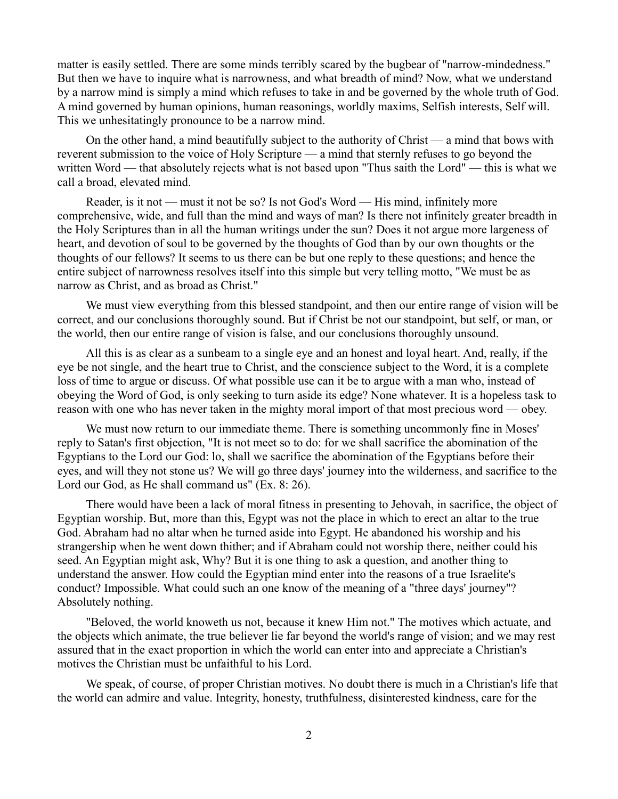matter is easily settled. There are some minds terribly scared by the bugbear of "narrow-mindedness." But then we have to inquire what is narrowness, and what breadth of mind? Now, what we understand by a narrow mind is simply a mind which refuses to take in and be governed by the whole truth of God. A mind governed by human opinions, human reasonings, worldly maxims, Selfish interests, Self will. This we unhesitatingly pronounce to be a narrow mind.

On the other hand, a mind beautifully subject to the authority of Christ — a mind that bows with reverent submission to the voice of Holy Scripture — a mind that sternly refuses to go beyond the written Word — that absolutely rejects what is not based upon "Thus saith the Lord" — this is what we call a broad, elevated mind.

Reader, is it not — must it not be so? Is not God's Word — His mind, infinitely more comprehensive, wide, and full than the mind and ways of man? Is there not infinitely greater breadth in the Holy Scriptures than in all the human writings under the sun? Does it not argue more largeness of heart, and devotion of soul to be governed by the thoughts of God than by our own thoughts or the thoughts of our fellows? It seems to us there can be but one reply to these questions; and hence the entire subject of narrowness resolves itself into this simple but very telling motto, "We must be as narrow as Christ, and as broad as Christ."

We must view everything from this blessed standpoint, and then our entire range of vision will be correct, and our conclusions thoroughly sound. But if Christ be not our standpoint, but self, or man, or the world, then our entire range of vision is false, and our conclusions thoroughly unsound.

All this is as clear as a sunbeam to a single eye and an honest and loyal heart. And, really, if the eye be not single, and the heart true to Christ, and the conscience subject to the Word, it is a complete loss of time to argue or discuss. Of what possible use can it be to argue with a man who, instead of obeying the Word of God, is only seeking to turn aside its edge? None whatever. It is a hopeless task to reason with one who has never taken in the mighty moral import of that most precious word — obey.

We must now return to our immediate theme. There is something uncommonly fine in Moses' reply to Satan's first objection, "It is not meet so to do: for we shall sacrifice the abomination of the Egyptians to the Lord our God: lo, shall we sacrifice the abomination of the Egyptians before their eyes, and will they not stone us? We will go three days' journey into the wilderness, and sacrifice to the Lord our God, as He shall command us" (Ex. 8: 26).

There would have been a lack of moral fitness in presenting to Jehovah, in sacrifice, the object of Egyptian worship. But, more than this, Egypt was not the place in which to erect an altar to the true God. Abraham had no altar when he turned aside into Egypt. He abandoned his worship and his strangership when he went down thither; and if Abraham could not worship there, neither could his seed. An Egyptian might ask, Why? But it is one thing to ask a question, and another thing to understand the answer. How could the Egyptian mind enter into the reasons of a true Israelite's conduct? Impossible. What could such an one know of the meaning of a "three days' journey"? Absolutely nothing.

"Beloved, the world knoweth us not, because it knew Him not." The motives which actuate, and the objects which animate, the true believer lie far beyond the world's range of vision; and we may rest assured that in the exact proportion in which the world can enter into and appreciate a Christian's motives the Christian must be unfaithful to his Lord.

We speak, of course, of proper Christian motives. No doubt there is much in a Christian's life that the world can admire and value. Integrity, honesty, truthfulness, disinterested kindness, care for the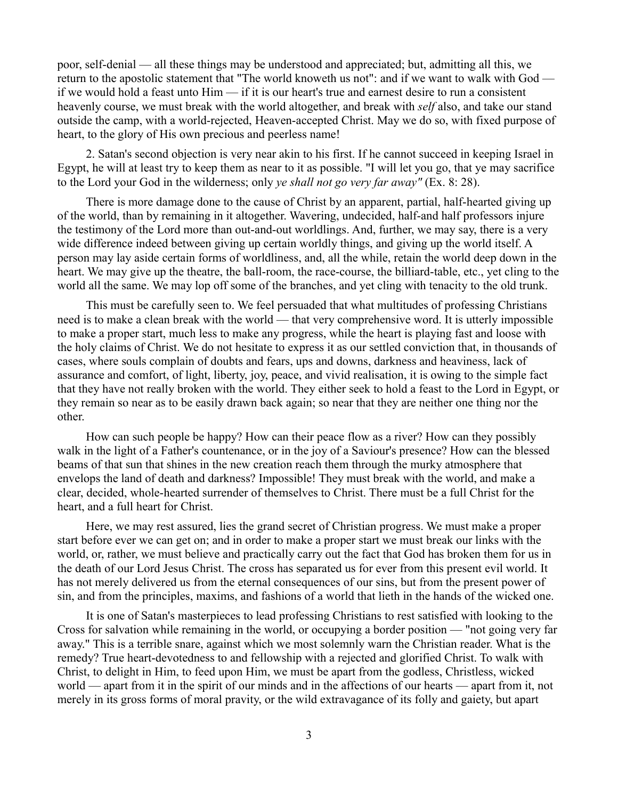poor, self-denial — all these things may be understood and appreciated; but, admitting all this, we return to the apostolic statement that "The world knoweth us not": and if we want to walk with God if we would hold a feast unto  $\text{Him}$  — if it is our heart's true and earnest desire to run a consistent heavenly course, we must break with the world altogether, and break with *self* also, and take our stand outside the camp, with a world-rejected, Heaven-accepted Christ. May we do so, with fixed purpose of heart, to the glory of His own precious and peerless name!

2. Satan's second objection is very near akin to his first. If he cannot succeed in keeping Israel in Egypt, he will at least try to keep them as near to it as possible. "I will let you go, that ye may sacrifice to the Lord your God in the wilderness; only *ye shall not go very far away"* (Ex. 8: 28).

There is more damage done to the cause of Christ by an apparent, partial, half-hearted giving up of the world, than by remaining in it altogether. Wavering, undecided, half-and half professors injure the testimony of the Lord more than out-and-out worldlings. And, further, we may say, there is a very wide difference indeed between giving up certain worldly things, and giving up the world itself. A person may lay aside certain forms of worldliness, and, all the while, retain the world deep down in the heart. We may give up the theatre, the ball-room, the race-course, the billiard-table, etc., yet cling to the world all the same. We may lop off some of the branches, and yet cling with tenacity to the old trunk.

This must be carefully seen to. We feel persuaded that what multitudes of professing Christians need is to make a clean break with the world — that very comprehensive word. It is utterly impossible to make a proper start, much less to make any progress, while the heart is playing fast and loose with the holy claims of Christ. We do not hesitate to express it as our settled conviction that, in thousands of cases, where souls complain of doubts and fears, ups and downs, darkness and heaviness, lack of assurance and comfort, of light, liberty, joy, peace, and vivid realisation, it is owing to the simple fact that they have not really broken with the world. They either seek to hold a feast to the Lord in Egypt, or they remain so near as to be easily drawn back again; so near that they are neither one thing nor the other.

How can such people be happy? How can their peace flow as a river? How can they possibly walk in the light of a Father's countenance, or in the joy of a Saviour's presence? How can the blessed beams of that sun that shines in the new creation reach them through the murky atmosphere that envelops the land of death and darkness? Impossible! They must break with the world, and make a clear, decided, whole-hearted surrender of themselves to Christ. There must be a full Christ for the heart, and a full heart for Christ.

Here, we may rest assured, lies the grand secret of Christian progress. We must make a proper start before ever we can get on; and in order to make a proper start we must break our links with the world, or, rather, we must believe and practically carry out the fact that God has broken them for us in the death of our Lord Jesus Christ. The cross has separated us for ever from this present evil world. It has not merely delivered us from the eternal consequences of our sins, but from the present power of sin, and from the principles, maxims, and fashions of a world that lieth in the hands of the wicked one.

It is one of Satan's masterpieces to lead professing Christians to rest satisfied with looking to the Cross for salvation while remaining in the world, or occupying a border position — "not going very far away." This is a terrible snare, against which we most solemnly warn the Christian reader. What is the remedy? True heart-devotedness to and fellowship with a rejected and glorified Christ. To walk with Christ, to delight in Him, to feed upon Him, we must be apart from the godless, Christless, wicked world — apart from it in the spirit of our minds and in the affections of our hearts — apart from it, not merely in its gross forms of moral pravity, or the wild extravagance of its folly and gaiety, but apart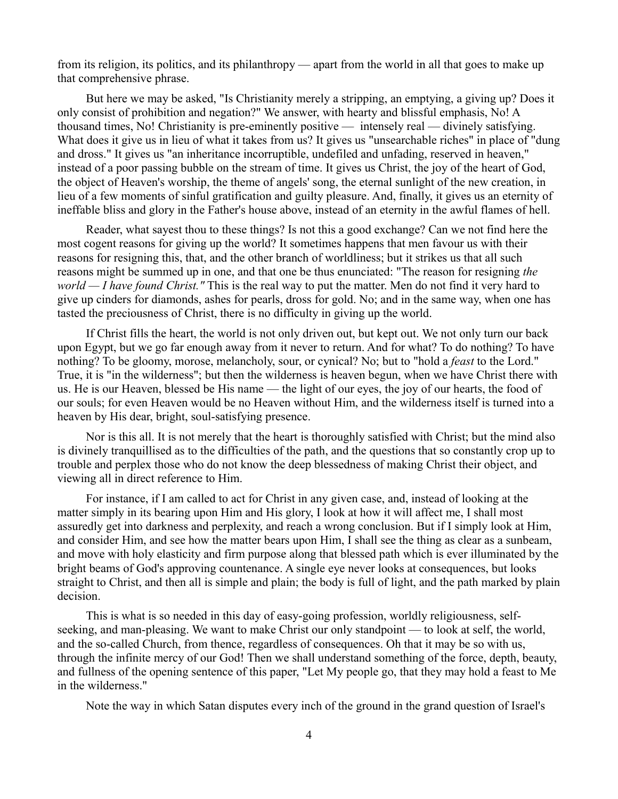from its religion, its politics, and its philanthropy — apart from the world in all that goes to make up that comprehensive phrase.

But here we may be asked, "Is Christianity merely a stripping, an emptying, a giving up? Does it only consist of prohibition and negation?" We answer, with hearty and blissful emphasis, No! A thousand times, No! Christianity is pre-eminently positive — intensely real — divinely satisfying. What does it give us in lieu of what it takes from us? It gives us "unsearchable riches" in place of "dung" and dross." It gives us "an inheritance incorruptible, undefiled and unfading, reserved in heaven," instead of a poor passing bubble on the stream of time. It gives us Christ, the joy of the heart of God, the object of Heaven's worship, the theme of angels' song, the eternal sunlight of the new creation, in lieu of a few moments of sinful gratification and guilty pleasure. And, finally, it gives us an eternity of ineffable bliss and glory in the Father's house above, instead of an eternity in the awful flames of hell.

Reader, what sayest thou to these things? Is not this a good exchange? Can we not find here the most cogent reasons for giving up the world? It sometimes happens that men favour us with their reasons for resigning this, that, and the other branch of worldliness; but it strikes us that all such reasons might be summed up in one, and that one be thus enunciated: "The reason for resigning *the world — I have found Christ."* This is the real way to put the matter. Men do not find it very hard to give up cinders for diamonds, ashes for pearls, dross for gold. No; and in the same way, when one has tasted the preciousness of Christ, there is no difficulty in giving up the world.

If Christ fills the heart, the world is not only driven out, but kept out. We not only turn our back upon Egypt, but we go far enough away from it never to return. And for what? To do nothing? To have nothing? To be gloomy, morose, melancholy, sour, or cynical? No; but to "hold a *feast* to the Lord." True, it is "in the wilderness"; but then the wilderness is heaven begun, when we have Christ there with us. He is our Heaven, blessed be His name — the light of our eyes, the joy of our hearts, the food of our souls; for even Heaven would be no Heaven without Him, and the wilderness itself is turned into a heaven by His dear, bright, soul-satisfying presence.

Nor is this all. It is not merely that the heart is thoroughly satisfied with Christ; but the mind also is divinely tranquillised as to the difficulties of the path, and the questions that so constantly crop up to trouble and perplex those who do not know the deep blessedness of making Christ their object, and viewing all in direct reference to Him.

For instance, if I am called to act for Christ in any given case, and, instead of looking at the matter simply in its bearing upon Him and His glory, I look at how it will affect me, I shall most assuredly get into darkness and perplexity, and reach a wrong conclusion. But if I simply look at Him, and consider Him, and see how the matter bears upon Him, I shall see the thing as clear as a sunbeam, and move with holy elasticity and firm purpose along that blessed path which is ever illuminated by the bright beams of God's approving countenance. A single eye never looks at consequences, but looks straight to Christ, and then all is simple and plain; the body is full of light, and the path marked by plain decision.

This is what is so needed in this day of easy-going profession, worldly religiousness, selfseeking, and man-pleasing. We want to make Christ our only standpoint — to look at self, the world, and the so-called Church, from thence, regardless of consequences. Oh that it may be so with us, through the infinite mercy of our God! Then we shall understand something of the force, depth, beauty, and fullness of the opening sentence of this paper, "Let My people go, that they may hold a feast to Me in the wilderness."

Note the way in which Satan disputes every inch of the ground in the grand question of Israel's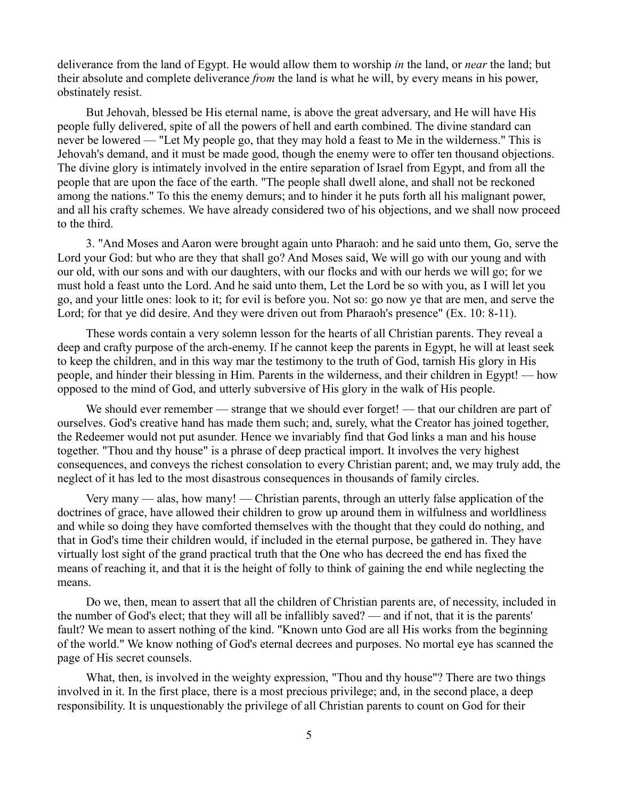deliverance from the land of Egypt. He would allow them to worship *in* the land, or *near* the land; but their absolute and complete deliverance *from* the land is what he will, by every means in his power, obstinately resist.

But Jehovah, blessed be His eternal name, is above the great adversary, and He will have His people fully delivered, spite of all the powers of hell and earth combined. The divine standard can never be lowered — "Let My people go, that they may hold a feast to Me in the wilderness." This is Jehovah's demand, and it must be made good, though the enemy were to offer ten thousand objections. The divine glory is intimately involved in the entire separation of Israel from Egypt, and from all the people that are upon the face of the earth. "The people shall dwell alone, and shall not be reckoned among the nations." To this the enemy demurs; and to hinder it he puts forth all his malignant power, and all his crafty schemes. We have already considered two of his objections, and we shall now proceed to the third.

3. "And Moses and Aaron were brought again unto Pharaoh: and he said unto them, Go, serve the Lord your God: but who are they that shall go? And Moses said, We will go with our young and with our old, with our sons and with our daughters, with our flocks and with our herds we will go; for we must hold a feast unto the Lord. And he said unto them, Let the Lord be so with you, as I will let you go, and your little ones: look to it; for evil is before you. Not so: go now ye that are men, and serve the Lord; for that ye did desire. And they were driven out from Pharaoh's presence" (Ex. 10: 8-11).

These words contain a very solemn lesson for the hearts of all Christian parents. They reveal a deep and crafty purpose of the arch-enemy. If he cannot keep the parents in Egypt, he will at least seek to keep the children, and in this way mar the testimony to the truth of God, tarnish His glory in His people, and hinder their blessing in Him. Parents in the wilderness, and their children in Egypt! — how opposed to the mind of God, and utterly subversive of His glory in the walk of His people.

We should ever remember — strange that we should ever forget! — that our children are part of ourselves. God's creative hand has made them such; and, surely, what the Creator has joined together, the Redeemer would not put asunder. Hence we invariably find that God links a man and his house together. "Thou and thy house" is a phrase of deep practical import. It involves the very highest consequences, and conveys the richest consolation to every Christian parent; and, we may truly add, the neglect of it has led to the most disastrous consequences in thousands of family circles.

Very many — alas, how many! — Christian parents, through an utterly false application of the doctrines of grace, have allowed their children to grow up around them in wilfulness and worldliness and while so doing they have comforted themselves with the thought that they could do nothing, and that in God's time their children would, if included in the eternal purpose, be gathered in. They have virtually lost sight of the grand practical truth that the One who has decreed the end has fixed the means of reaching it, and that it is the height of folly to think of gaining the end while neglecting the means.

Do we, then, mean to assert that all the children of Christian parents are, of necessity, included in the number of God's elect; that they will all be infallibly saved? — and if not, that it is the parents' fault? We mean to assert nothing of the kind. "Known unto God are all His works from the beginning of the world." We know nothing of God's eternal decrees and purposes. No mortal eye has scanned the page of His secret counsels.

What, then, is involved in the weighty expression, "Thou and thy house"? There are two things involved in it. In the first place, there is a most precious privilege; and, in the second place, a deep responsibility. It is unquestionably the privilege of all Christian parents to count on God for their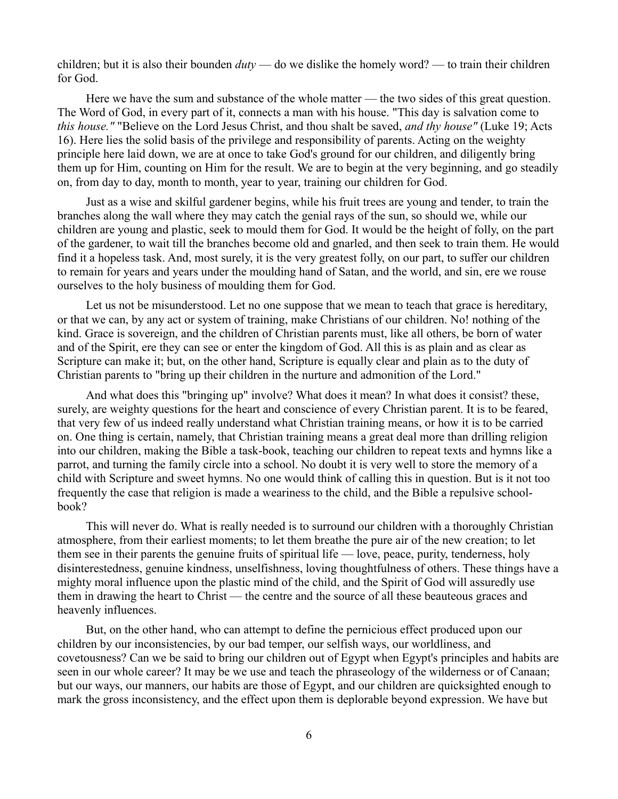children; but it is also their bounden *duty* — do we dislike the homely word? — to train their children for God.

Here we have the sum and substance of the whole matter — the two sides of this great question. The Word of God, in every part of it, connects a man with his house. "This day is salvation come to *this house."* "Believe on the Lord Jesus Christ, and thou shalt be saved, *and thy house"* (Luke 19; Acts 16). Here lies the solid basis of the privilege and responsibility of parents. Acting on the weighty principle here laid down, we are at once to take God's ground for our children, and diligently bring them up for Him, counting on Him for the result. We are to begin at the very beginning, and go steadily on, from day to day, month to month, year to year, training our children for God.

Just as a wise and skilful gardener begins, while his fruit trees are young and tender, to train the branches along the wall where they may catch the genial rays of the sun, so should we, while our children are young and plastic, seek to mould them for God. It would be the height of folly, on the part of the gardener, to wait till the branches become old and gnarled, and then seek to train them. He would find it a hopeless task. And, most surely, it is the very greatest folly, on our part, to suffer our children to remain for years and years under the moulding hand of Satan, and the world, and sin, ere we rouse ourselves to the holy business of moulding them for God.

Let us not be misunderstood. Let no one suppose that we mean to teach that grace is hereditary, or that we can, by any act or system of training, make Christians of our children. No! nothing of the kind. Grace is sovereign, and the children of Christian parents must, like all others, be born of water and of the Spirit, ere they can see or enter the kingdom of God. All this is as plain and as clear as Scripture can make it; but, on the other hand, Scripture is equally clear and plain as to the duty of Christian parents to "bring up their children in the nurture and admonition of the Lord."

And what does this "bringing up" involve? What does it mean? In what does it consist? these, surely, are weighty questions for the heart and conscience of every Christian parent. It is to be feared, that very few of us indeed really understand what Christian training means, or how it is to be carried on. One thing is certain, namely, that Christian training means a great deal more than drilling religion into our children, making the Bible a task-book, teaching our children to repeat texts and hymns like a parrot, and turning the family circle into a school. No doubt it is very well to store the memory of a child with Scripture and sweet hymns. No one would think of calling this in question. But is it not too frequently the case that religion is made a weariness to the child, and the Bible a repulsive schoolbook?

This will never do. What is really needed is to surround our children with a thoroughly Christian atmosphere, from their earliest moments; to let them breathe the pure air of the new creation; to let them see in their parents the genuine fruits of spiritual life — love, peace, purity, tenderness, holy disinterestedness, genuine kindness, unselfishness, loving thoughtfulness of others. These things have a mighty moral influence upon the plastic mind of the child, and the Spirit of God will assuredly use them in drawing the heart to Christ — the centre and the source of all these beauteous graces and heavenly influences.

But, on the other hand, who can attempt to define the pernicious effect produced upon our children by our inconsistencies, by our bad temper, our selfish ways, our worldliness, and covetousness? Can we be said to bring our children out of Egypt when Egypt's principles and habits are seen in our whole career? It may be we use and teach the phraseology of the wilderness or of Canaan; but our ways, our manners, our habits are those of Egypt, and our children are quicksighted enough to mark the gross inconsistency, and the effect upon them is deplorable beyond expression. We have but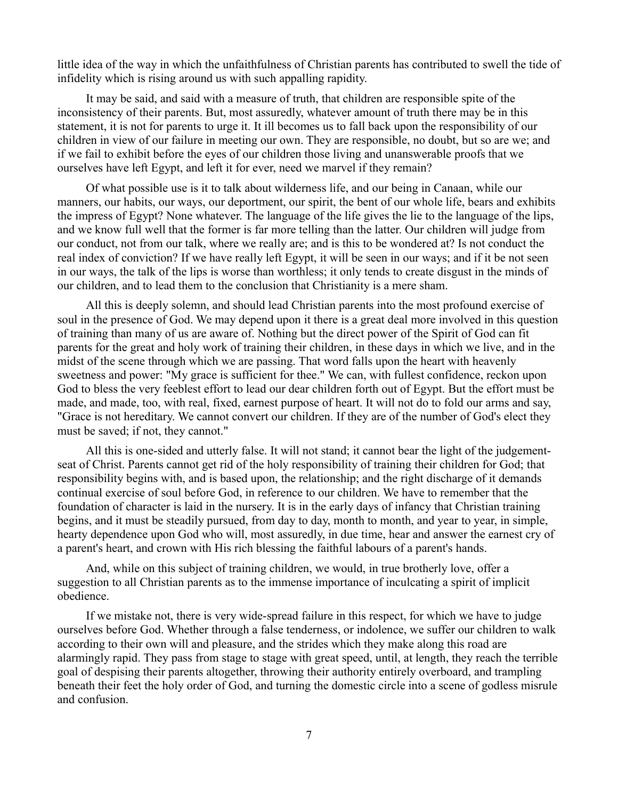little idea of the way in which the unfaithfulness of Christian parents has contributed to swell the tide of infidelity which is rising around us with such appalling rapidity.

It may be said, and said with a measure of truth, that children are responsible spite of the inconsistency of their parents. But, most assuredly, whatever amount of truth there may be in this statement, it is not for parents to urge it. It ill becomes us to fall back upon the responsibility of our children in view of our failure in meeting our own. They are responsible, no doubt, but so are we; and if we fail to exhibit before the eyes of our children those living and unanswerable proofs that we ourselves have left Egypt, and left it for ever, need we marvel if they remain?

Of what possible use is it to talk about wilderness life, and our being in Canaan, while our manners, our habits, our ways, our deportment, our spirit, the bent of our whole life, bears and exhibits the impress of Egypt? None whatever. The language of the life gives the lie to the language of the lips, and we know full well that the former is far more telling than the latter. Our children will judge from our conduct, not from our talk, where we really are; and is this to be wondered at? Is not conduct the real index of conviction? If we have really left Egypt, it will be seen in our ways; and if it be not seen in our ways, the talk of the lips is worse than worthless; it only tends to create disgust in the minds of our children, and to lead them to the conclusion that Christianity is a mere sham.

All this is deeply solemn, and should lead Christian parents into the most profound exercise of soul in the presence of God. We may depend upon it there is a great deal more involved in this question of training than many of us are aware of. Nothing but the direct power of the Spirit of God can fit parents for the great and holy work of training their children, in these days in which we live, and in the midst of the scene through which we are passing. That word falls upon the heart with heavenly sweetness and power: "My grace is sufficient for thee." We can, with fullest confidence, reckon upon God to bless the very feeblest effort to lead our dear children forth out of Egypt. But the effort must be made, and made, too, with real, fixed, earnest purpose of heart. It will not do to fold our arms and say, "Grace is not hereditary. We cannot convert our children. If they are of the number of God's elect they must be saved; if not, they cannot."

All this is one-sided and utterly false. It will not stand; it cannot bear the light of the judgementseat of Christ. Parents cannot get rid of the holy responsibility of training their children for God; that responsibility begins with, and is based upon, the relationship; and the right discharge of it demands continual exercise of soul before God, in reference to our children. We have to remember that the foundation of character is laid in the nursery. It is in the early days of infancy that Christian training begins, and it must be steadily pursued, from day to day, month to month, and year to year, in simple, hearty dependence upon God who will, most assuredly, in due time, hear and answer the earnest cry of a parent's heart, and crown with His rich blessing the faithful labours of a parent's hands.

And, while on this subject of training children, we would, in true brotherly love, offer a suggestion to all Christian parents as to the immense importance of inculcating a spirit of implicit obedience.

If we mistake not, there is very wide-spread failure in this respect, for which we have to judge ourselves before God. Whether through a false tenderness, or indolence, we suffer our children to walk according to their own will and pleasure, and the strides which they make along this road are alarmingly rapid. They pass from stage to stage with great speed, until, at length, they reach the terrible goal of despising their parents altogether, throwing their authority entirely overboard, and trampling beneath their feet the holy order of God, and turning the domestic circle into a scene of godless misrule and confusion.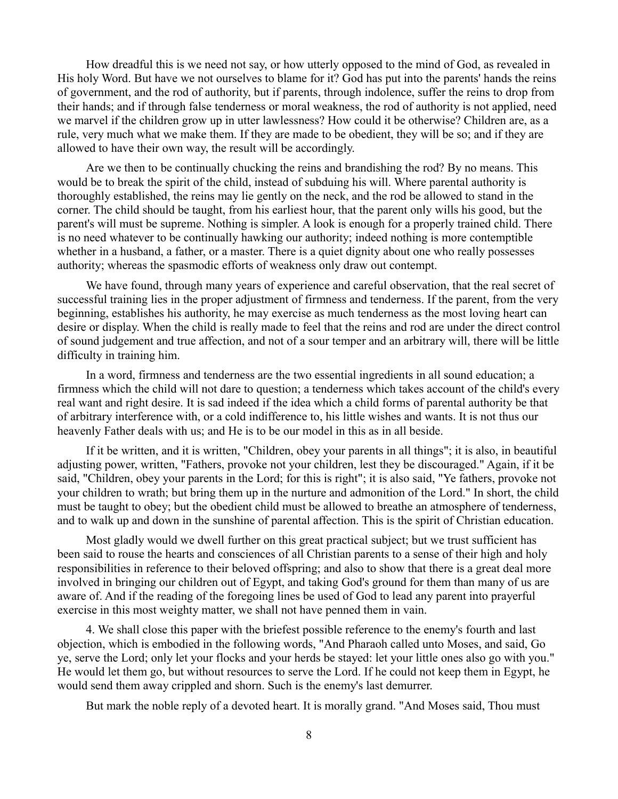How dreadful this is we need not say, or how utterly opposed to the mind of God, as revealed in His holy Word. But have we not ourselves to blame for it? God has put into the parents' hands the reins of government, and the rod of authority, but if parents, through indolence, suffer the reins to drop from their hands; and if through false tenderness or moral weakness, the rod of authority is not applied, need we marvel if the children grow up in utter lawlessness? How could it be otherwise? Children are, as a rule, very much what we make them. If they are made to be obedient, they will be so; and if they are allowed to have their own way, the result will be accordingly.

Are we then to be continually chucking the reins and brandishing the rod? By no means. This would be to break the spirit of the child, instead of subduing his will. Where parental authority is thoroughly established, the reins may lie gently on the neck, and the rod be allowed to stand in the corner. The child should be taught, from his earliest hour, that the parent only wills his good, but the parent's will must be supreme. Nothing is simpler. A look is enough for a properly trained child. There is no need whatever to be continually hawking our authority; indeed nothing is more contemptible whether in a husband, a father, or a master. There is a quiet dignity about one who really possesses authority; whereas the spasmodic efforts of weakness only draw out contempt.

We have found, through many years of experience and careful observation, that the real secret of successful training lies in the proper adjustment of firmness and tenderness. If the parent, from the very beginning, establishes his authority, he may exercise as much tenderness as the most loving heart can desire or display. When the child is really made to feel that the reins and rod are under the direct control of sound judgement and true affection, and not of a sour temper and an arbitrary will, there will be little difficulty in training him.

In a word, firmness and tenderness are the two essential ingredients in all sound education; a firmness which the child will not dare to question; a tenderness which takes account of the child's every real want and right desire. It is sad indeed if the idea which a child forms of parental authority be that of arbitrary interference with, or a cold indifference to, his little wishes and wants. It is not thus our heavenly Father deals with us; and He is to be our model in this as in all beside.

If it be written, and it is written, "Children, obey your parents in all things"; it is also, in beautiful adjusting power, written, "Fathers, provoke not your children, lest they be discouraged." Again, if it be said, "Children, obey your parents in the Lord; for this is right"; it is also said, "Ye fathers, provoke not your children to wrath; but bring them up in the nurture and admonition of the Lord." In short, the child must be taught to obey; but the obedient child must be allowed to breathe an atmosphere of tenderness, and to walk up and down in the sunshine of parental affection. This is the spirit of Christian education.

Most gladly would we dwell further on this great practical subject; but we trust sufficient has been said to rouse the hearts and consciences of all Christian parents to a sense of their high and holy responsibilities in reference to their beloved offspring; and also to show that there is a great deal more involved in bringing our children out of Egypt, and taking God's ground for them than many of us are aware of. And if the reading of the foregoing lines be used of God to lead any parent into prayerful exercise in this most weighty matter, we shall not have penned them in vain.

4. We shall close this paper with the briefest possible reference to the enemy's fourth and last objection, which is embodied in the following words, "And Pharaoh called unto Moses, and said, Go ye, serve the Lord; only let your flocks and your herds be stayed: let your little ones also go with you." He would let them go, but without resources to serve the Lord. If he could not keep them in Egypt, he would send them away crippled and shorn. Such is the enemy's last demurrer.

But mark the noble reply of a devoted heart. It is morally grand. "And Moses said, Thou must